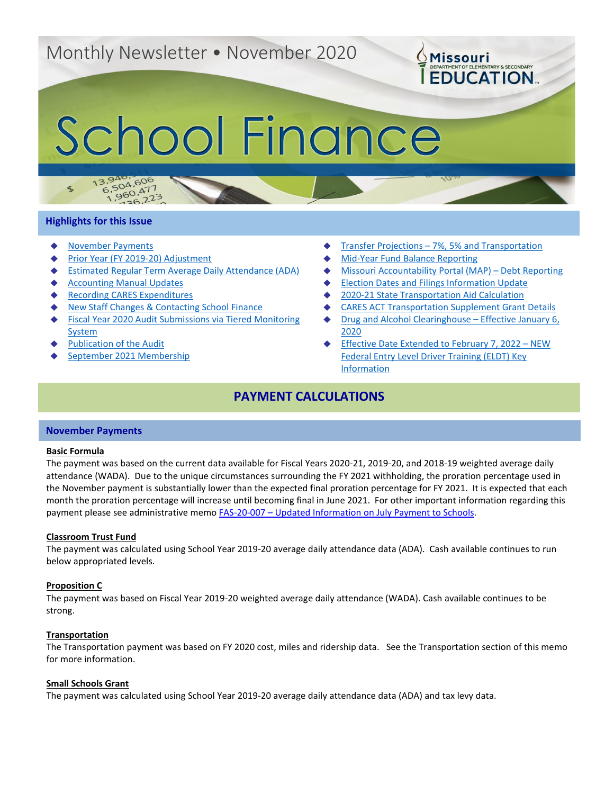# Monthly Newsletter • November 2020

# School Finance

#### **Highlights for this Issue**

 $\mathcal{L}_{\mathbf{b}}$ 

 $13.94$ 

- **[November Payments](#page-0-0)**
- [Prior Year \(FY 2019-20\) Adjustment](#page-1-0)

3,940,606<br>6,504,606

 $5,504,600$ <br>1,960,477

 $50^{14}$ <br>36,223

- **[Estimated Regular Term Average Daily Attendance \(ADA\)](#page-1-1)**
- **[Accounting Manual Updates](#page-2-0)**
- **[Recording CARES Expenditures](#page-2-1)**
- **[New Staff Changes & Contacting School Finance](#page-2-2)**
- **Fiscal Year 2020 Audit Submissions via Tiered Monitoring** [System](#page-2-3)
- **[Publication of the Audit](#page-3-0)**
- [September 2021 Membership](#page-3-1)
- Transfer Projections  $-7\%$ , 5% and Transportation
- **[Mid-Year Fund Balance Reporting](#page-4-1)**
- [Missouri Accountability Portal \(MAP\) –](#page-4-2) Debt Reporting

**OMissouri** 

**EDUCATION** 

- **[Election Dates and Filings Information Update](#page-4-3)**
- [2020-21 State Transportation Aid Calculation](#page-4-4)
- **[CARES ACT Transportation Supplement Grant Details](#page-5-0)**
- [Drug and Alcohol Clearinghouse –](#page-5-1) Effective January 6, [2020](#page-5-1)
- [Effective Date Extended to February 7, 2022 –](#page-6-0) NEW [Federal Entry Level Driver Training \(ELDT\) Key](#page-6-0)  [Information](#page-6-0)

# **PAYMENT CALCULATIONS**

#### <span id="page-0-0"></span>**November Payments**

#### **Basic Formula**

The payment was based on the current data available for Fiscal Years 2020-21, 2019-20, and 2018-19 weighted average daily attendance (WADA). Due to the unique circumstances surrounding the FY 2021 withholding, the proration percentage used in the November payment is substantially lower than the expected final proration percentage for FY 2021. It is expected that each month the proration percentage will increase until becoming final in June 2021. For other important information regarding this payment please see administrative memo FAS-20-007 – [Updated Information on July Payment to Schools.](https://dese.mo.gov/sites/default/files/am/documents/FAS-20-007.pdf)

#### **Classroom Trust Fund**

The payment was calculated using School Year 2019-20 average daily attendance data (ADA). Cash available continues to run below appropriated levels.

#### **Proposition C**

The payment was based on Fiscal Year 2019-20 weighted average daily attendance (WADA). Cash available continues to be strong.

#### **Transportation**

The Transportation payment was based on FY 2020 cost, miles and ridership data. See the Transportation section of this memo for more information.

#### **Small Schools Grant**

The payment was calculated using School Year 2019-20 average daily attendance data (ADA) and tax levy data.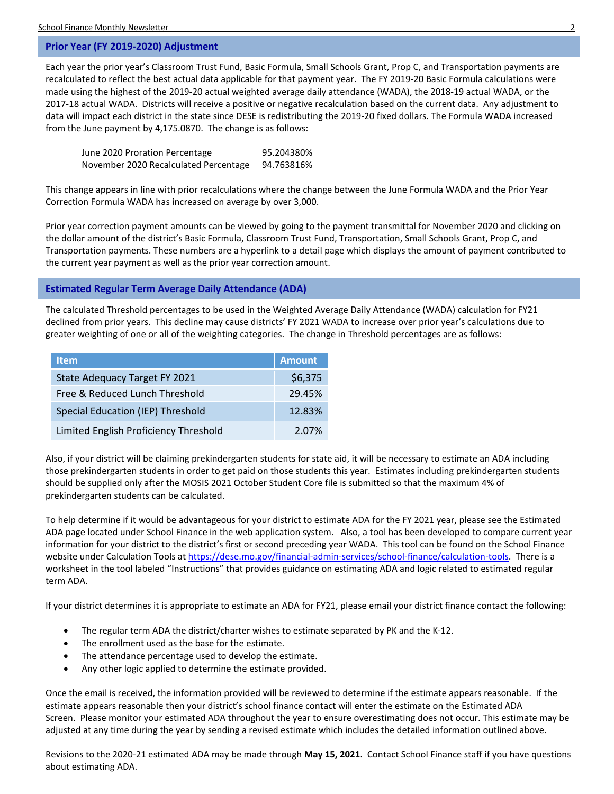#### <span id="page-1-0"></span>**Prior Year (FY 2019-2020) Adjustment**

Each year the prior year's Classroom Trust Fund, Basic Formula, Small Schools Grant, Prop C, and Transportation payments are recalculated to reflect the best actual data applicable for that payment year. The FY 2019-20 Basic Formula calculations were made using the highest of the 2019-20 actual weighted average daily attendance (WADA), the 2018-19 actual WADA, or the 2017-18 actual WADA. Districts will receive a positive or negative recalculation based on the current data. Any adjustment to data will impact each district in the state since DESE is redistributing the 2019-20 fixed dollars. The Formula WADA increased from the June payment by 4,175.0870. The change is as follows:

| June 2020 Proration Percentage        | 95.204380% |
|---------------------------------------|------------|
| November 2020 Recalculated Percentage | 94.763816% |

This change appears in line with prior recalculations where the change between the June Formula WADA and the Prior Year Correction Formula WADA has increased on average by over 3,000.

Prior year correction payment amounts can be viewed by going to the payment transmittal for November 2020 and clicking on the dollar amount of the district's Basic Formula, Classroom Trust Fund, Transportation, Small Schools Grant, Prop C, and Transportation payments. These numbers are a hyperlink to a detail page which displays the amount of payment contributed to the current year payment as well as the prior year correction amount.

#### <span id="page-1-1"></span>**Estimated Regular Term Average Daily Attendance (ADA)**

The calculated Threshold percentages to be used in the Weighted Average Daily Attendance (WADA) calculation for FY21 declined from prior years. This decline may cause districts' FY 2021 WADA to increase over prior year's calculations due to greater weighting of one or all of the weighting categories. The change in Threshold percentages are as follows:

| <b>Item</b>                              | <b>Amount</b> |
|------------------------------------------|---------------|
| State Adequacy Target FY 2021            | \$6,375       |
| Free & Reduced Lunch Threshold           | 29.45%        |
| <b>Special Education (IEP) Threshold</b> | 12.83%        |
| Limited English Proficiency Threshold    | 2.07%         |

Also, if your district will be claiming prekindergarten students for state aid, it will be necessary to estimate an ADA including those prekindergarten students in order to get paid on those students this year. Estimates including prekindergarten students should be supplied only after the MOSIS 2021 October Student Core file is submitted so that the maximum 4% of prekindergarten students can be calculated.

To help determine if it would be advantageous for your district to estimate ADA for the FY 2021 year, please see the Estimated ADA page located under School Finance in the web application system. Also, a tool has been developed to compare current year information for your district to the district's first or second preceding year WADA. This tool can be found on the School Finance website under Calculation Tools at [https://dese.mo.gov/financial-admin-services/school-finance/calculation-tools.](https://dese.mo.gov/financial-admin-services/school-finance/calculation-tools) There is a worksheet in the tool labeled "Instructions" that provides guidance on estimating ADA and logic related to estimated regular term ADA.

If your district determines it is appropriate to estimate an ADA for FY21, please email your district finance contact the following:

- The regular term ADA the district/charter wishes to estimate separated by PK and the K-12.
- The enrollment used as the base for the estimate.
- The attendance percentage used to develop the estimate.
- Any other logic applied to determine the estimate provided.

Once the email is received, the information provided will be reviewed to determine if the estimate appears reasonable. If the estimate appears reasonable then your district's school finance contact will enter the estimate on the Estimated ADA Screen. Please monitor your estimated ADA throughout the year to ensure overestimating does not occur. This estimate may be adjusted at any time during the year by sending a revised estimate which includes the detailed information outlined above.

Revisions to the 2020-21 estimated ADA may be made through **May 15, 2021**. Contact School Finance staff if you have questions about estimating ADA.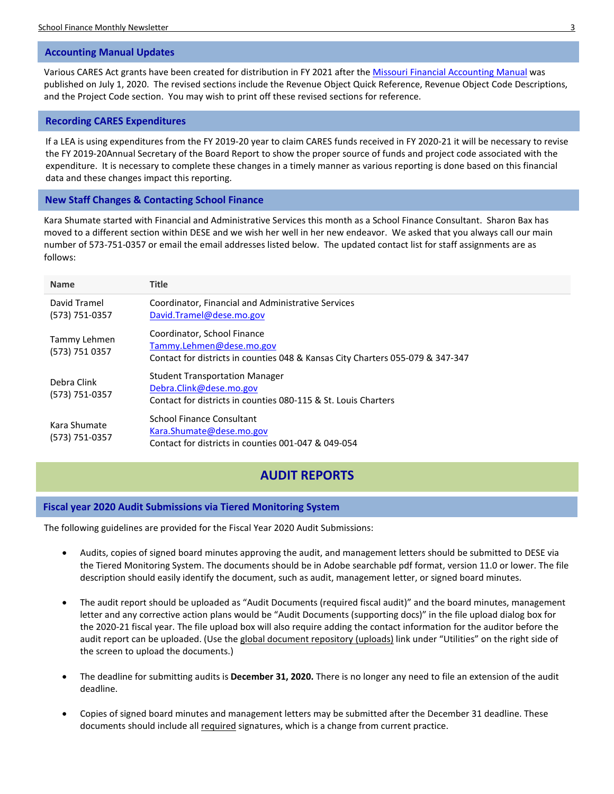#### <span id="page-2-0"></span>**Accounting Manual Updates**

Various CARES Act grants have been created for distribution in FY 2021 after the [Missouri Financial Accounting Manual](https://dese.mo.gov/financial-admin-services/school-finance/accounting-manual) was published on July 1, 2020. The revised sections include the Revenue Object Quick Reference, Revenue Object Code Descriptions, and the Project Code section. You may wish to print off these revised sections for reference.

#### <span id="page-2-1"></span>**Recording CARES Expenditures**

If a LEA is using expenditures from the FY 2019-20 year to claim CARES funds received in FY 2020-21 it will be necessary to revise the FY 2019-20Annual Secretary of the Board Report to show the proper source of funds and project code associated with the expenditure. It is necessary to complete these changes in a timely manner as various reporting is done based on this financial data and these changes impact this reporting.

#### <span id="page-2-2"></span>**New Staff Changes & Contacting School Finance**

Kara Shumate started with Financial and Administrative Services this month as a School Finance Consultant. Sharon Bax has moved to a different section within DESE and we wish her well in her new endeavor. We asked that you always call our main number of 573-751-0357 or email the email addresses listed below. The updated contact list for staff assignments are as follows:

| <b>Name</b>                    | <b>Title</b>                                                                                                                              |
|--------------------------------|-------------------------------------------------------------------------------------------------------------------------------------------|
| David Tramel<br>(573) 751-0357 | Coordinator, Financial and Administrative Services<br>David.Tramel@dese.mo.gov                                                            |
| Tammy Lehmen<br>(573) 751 0357 | Coordinator, School Finance<br>Tammy.Lehmen@dese.mo.gov<br>Contact for districts in counties 048 & Kansas City Charters 055-079 & 347-347 |
| Debra Clink<br>(573) 751-0357  | <b>Student Transportation Manager</b><br>Debra.Clink@dese.mo.gov<br>Contact for districts in counties 080-115 & St. Louis Charters        |
| Kara Shumate<br>(573) 751-0357 | School Finance Consultant<br>Kara.Shumate@dese.mo.gov<br>Contact for districts in counties 001-047 & 049-054                              |

# **AUDIT REPORTS**

#### <span id="page-2-3"></span>**Fiscal year 2020 Audit Submissions via Tiered Monitoring System**

The following guidelines are provided for the Fiscal Year 2020 Audit Submissions:

- Audits, copies of signed board minutes approving the audit, and management letters should be submitted to DESE via the Tiered Monitoring System. The documents should be in Adobe searchable pdf format, version 11.0 or lower. The file description should easily identify the document, such as audit, management letter, or signed board minutes.
- The audit report should be uploaded as "Audit Documents (required fiscal audit)" and the board minutes, management letter and any corrective action plans would be "Audit Documents (supporting docs)" in the file upload dialog box for the 2020-21 fiscal year. The file upload box will also require adding the contact information for the auditor before the audit report can be uploaded. (Use the global document repository (uploads) link under "Utilities" on the right side of the screen to upload the documents.)
- The deadline for submitting audits is **December 31, 2020.** There is no longer any need to file an extension of the audit deadline.
- Copies of signed board minutes and management letters may be submitted after the December 31 deadline. These documents should include all required signatures, which is a change from current practice.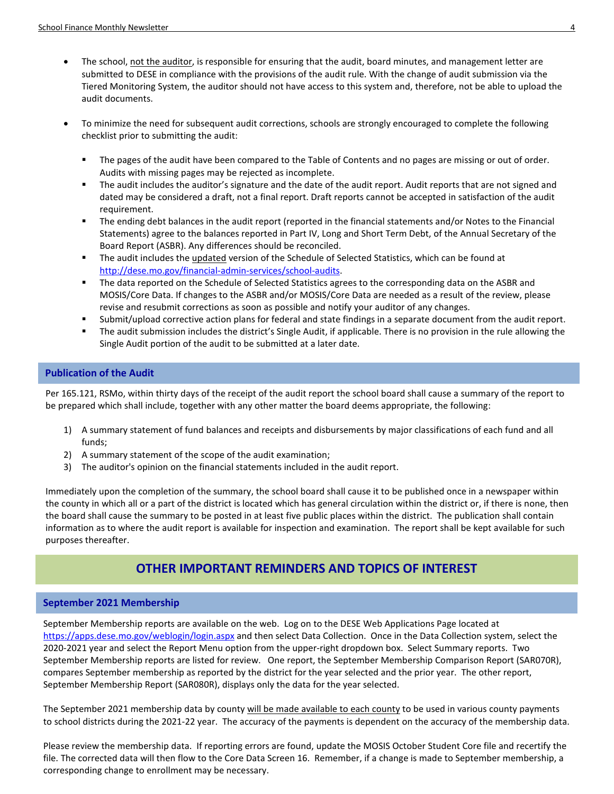- The school, not the auditor, is responsible for ensuring that the audit, board minutes, and management letter are submitted to DESE in compliance with the provisions of the audit rule. With the change of audit submission via the Tiered Monitoring System, the auditor should not have access to this system and, therefore, not be able to upload the audit documents.
- To minimize the need for subsequent audit corrections, schools are strongly encouraged to complete the following checklist prior to submitting the audit:
	- The pages of the audit have been compared to the Table of Contents and no pages are missing or out of order. Audits with missing pages may be rejected as incomplete.
	- The audit includes the auditor's signature and the date of the audit report. Audit reports that are not signed and dated may be considered a draft, not a final report. Draft reports cannot be accepted in satisfaction of the audit requirement.
	- The ending debt balances in the audit report (reported in the financial statements and/or Notes to the Financial Statements) agree to the balances reported in Part IV, Long and Short Term Debt, of the Annual Secretary of the Board Report (ASBR). Any differences should be reconciled.
	- The audit includes the updated version of the Schedule of Selected Statistics, which can be found at [http://dese.mo.gov/financial-admin-services/school-audits.](http://dese.mo.gov/financial-admin-services/school-audits)
	- The data reported on the Schedule of Selected Statistics agrees to the corresponding data on the ASBR and MOSIS/Core Data. If changes to the ASBR and/or MOSIS/Core Data are needed as a result of the review, please revise and resubmit corrections as soon as possible and notify your auditor of any changes.
	- Submit/upload corrective action plans for federal and state findings in a separate document from the audit report.
	- The audit submission includes the district's Single Audit, if applicable. There is no provision in the rule allowing the Single Audit portion of the audit to be submitted at a later date.

#### <span id="page-3-0"></span>**Publication of the Audit**

Per 165.121, RSMo, within thirty days of the receipt of the audit report the school board shall cause a summary of the report to be prepared which shall include, together with any other matter the board deems appropriate, the following:

- 1) A summary statement of fund balances and receipts and disbursements by major classifications of each fund and all funds;
- 2) A summary statement of the scope of the audit examination;
- 3) The auditor's opinion on the financial statements included in the audit report.

Immediately upon the completion of the summary, the school board shall cause it to be published once in a newspaper within the county in which all or a part of the district is located which has general circulation within the district or, if there is none, then the board shall cause the summary to be posted in at least five public places within the district. The publication shall contain information as to where the audit report is available for inspection and examination. The report shall be kept available for such purposes thereafter.

# **OTHER IMPORTANT REMINDERS AND TOPICS OF INTEREST**

#### <span id="page-3-1"></span>**September 2021 Membership**

September Membership reports are available on the web. Log on to the DESE Web Applications Page located at <https://apps.dese.mo.gov/weblogin/login.aspx> and then select Data Collection. Once in the Data Collection system, select the 2020-2021 year and select the Report Menu option from the upper-right dropdown box. Select Summary reports. Two September Membership reports are listed for review. One report, the September Membership Comparison Report (SAR070R), compares September membership as reported by the district for the year selected and the prior year. The other report, September Membership Report (SAR080R), displays only the data for the year selected.

The September 2021 membership data by county will be made available to each county to be used in various county payments to school districts during the 2021-22 year. The accuracy of the payments is dependent on the accuracy of the membership data.

Please review the membership data. If reporting errors are found, update the MOSIS October Student Core file and recertify the file. The corrected data will then flow to the Core Data Screen 16. Remember, if a change is made to September membership, a corresponding change to enrollment may be necessary.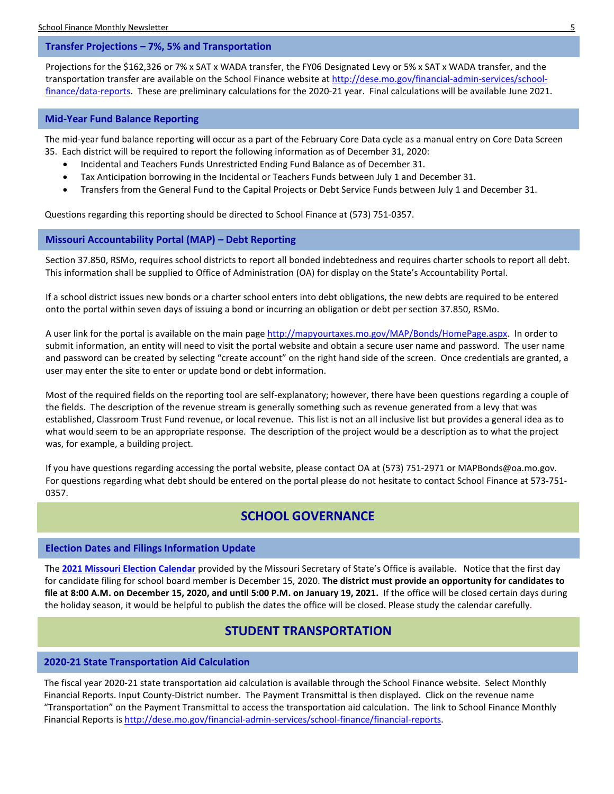#### <span id="page-4-0"></span>**Transfer Projections – 7%, 5% and Transportation**

Projections for the \$162,326 or 7% x SAT x WADA transfer, the FY06 Designated Levy or 5% x SAT x WADA transfer, and the transportation transfer are available on the School Finance website at [http://dese.mo.gov/financial-admin-services/school](http://dese.mo.gov/financial-admin-services/school-finance/data-reports)[finance/data-reports.](http://dese.mo.gov/financial-admin-services/school-finance/data-reports) These are preliminary calculations for the 2020-21 year. Final calculations will be available June 2021.

#### <span id="page-4-1"></span>**Mid-Year Fund Balance Reporting**

The mid-year fund balance reporting will occur as a part of the February Core Data cycle as a manual entry on Core Data Screen 35. Each district will be required to report the following information as of December 31, 2020:

- Incidental and Teachers Funds Unrestricted Ending Fund Balance as of December 31.
- Tax Anticipation borrowing in the Incidental or Teachers Funds between July 1 and December 31.
- Transfers from the General Fund to the Capital Projects or Debt Service Funds between July 1 and December 31.

Questions regarding this reporting should be directed to School Finance at (573) 751-0357.

#### <span id="page-4-2"></span>**Missouri Accountability Portal (MAP) – Debt Reporting**

Section 37.850, RSMo, requires school districts to report all bonded indebtedness and requires charter schools to report all debt. This information shall be supplied to Office of Administration (OA) for display on the State's Accountability Portal.

If a school district issues new bonds or a charter school enters into debt obligations, the new debts are required to be entered onto the portal within seven days of issuing a bond or incurring an obligation or debt per section 37.850, RSMo.

A user link for the portal is available on the main pag[e http://mapyourtaxes.mo.gov/MAP/Bonds/HomePage.aspx.](http://mapyourtaxes.mo.gov/MAP/Bonds/HomePage.aspx) In order to submit information, an entity will need to visit the portal website and obtain a secure user name and password. The user name and password can be created by selecting "create account" on the right hand side of the screen. Once credentials are granted, a user may enter the site to enter or update bond or debt information.

Most of the required fields on the reporting tool are self-explanatory; however, there have been questions regarding a couple of the fields. The description of the revenue stream is generally something such as revenue generated from a levy that was established, Classroom Trust Fund revenue, or local revenue. This list is not an all inclusive list but provides a general idea as to what would seem to be an appropriate response. The description of the project would be a description as to what the project was, for example, a building project.

If you have questions regarding accessing the portal website, please contact OA at (573) 751-2971 or MAPBonds@oa.mo.gov. For questions regarding what debt should be entered on the portal please do not hesitate to contact School Finance at 573-751- 0357.

## **SCHOOL GOVERNANCE**

#### <span id="page-4-3"></span>**Election Dates and Filings Information Update**

The **[2021 Missouri Election Calendar](https://www.sos.mo.gov/elections/calendar/2021cal)** provided by the Missouri Secretary of State's Office is available. Notice that the first day for candidate filing for school board member is December 15, 2020. **The district must provide an opportunity for candidates to file at 8:00 A.M. on December 15, 2020, and until 5:00 P.M. on January 19, 2021.** If the office will be closed certain days during the holiday season, it would be helpful to publish the dates the office will be closed. Please study the calendar carefully.

### **STUDENT TRANSPORTATION**

#### <span id="page-4-4"></span>**2020-21 State Transportation Aid Calculation**

The fiscal year 2020-21 state transportation aid calculation is available through the School Finance website. Select Monthly Financial Reports. Input County-District number. The Payment Transmittal is then displayed. Click on the revenue name "Transportation" on the Payment Transmittal to access the transportation aid calculation. The link to School Finance Monthly Financial Reports i[s http://dese.mo.gov/financial-admin-services/school-finance/financial-reports.](http://dese.mo.gov/financial-admin-services/school-finance/financial-reports)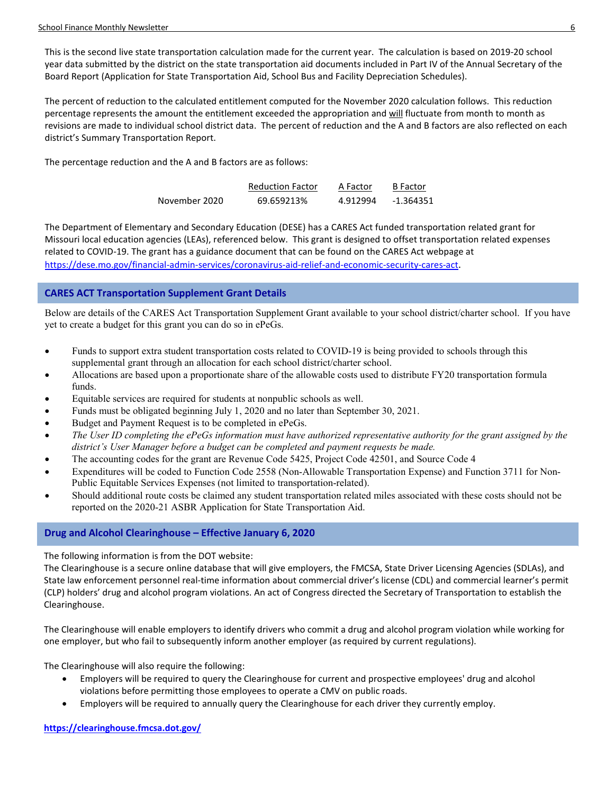This is the second live state transportation calculation made for the current year. The calculation is based on 2019-20 school year data submitted by the district on the state transportation aid documents included in Part IV of the Annual Secretary of the Board Report (Application for State Transportation Aid, School Bus and Facility Depreciation Schedules).

The percent of reduction to the calculated entitlement computed for the November 2020 calculation follows. This reduction percentage represents the amount the entitlement exceeded the appropriation and will fluctuate from month to month as revisions are made to individual school district data. The percent of reduction and the A and B factors are also reflected on each district's Summary Transportation Report.

The percentage reduction and the A and B factors are as follows:

|               | <b>Reduction Factor</b> | A Factor | <b>B</b> Factor |
|---------------|-------------------------|----------|-----------------|
| November 2020 | 69.659213%              | 4.912994 | $-1.364351$     |

The Department of Elementary and Secondary Education (DESE) has a CARES Act funded transportation related grant for Missouri local education agencies (LEAs), referenced below. This grant is designed to offset transportation related expenses related to COVID-19. The grant has a guidance document that can be found on the CARES Act webpage at [https://dese.mo.gov/financial-admin-services/coronavirus-aid-relief-and-economic-security-cares-act.](https://dese.mo.gov/financial-admin-services/coronavirus-aid-relief-and-economic-security-cares-act)

#### <span id="page-5-0"></span>**CARES ACT Transportation Supplement Grant Details**

Below are details of the CARES Act Transportation Supplement Grant available to your school district/charter school. If you have yet to create a budget for this grant you can do so in ePeGs.

- Funds to support extra student transportation costs related to COVID-19 is being provided to schools through this supplemental grant through an allocation for each school district/charter school.
- Allocations are based upon a proportionate share of the allowable costs used to distribute FY20 transportation formula funds.
- Equitable services are required for students at nonpublic schools as well.
- Funds must be obligated beginning July 1, 2020 and no later than September 30, 2021.
- Budget and Payment Request is to be completed in ePeGs.
- *The User ID completing the ePeGs information must have authorized representative authority for the grant assigned by the district's User Manager before a budget can be completed and payment requests be made.*
- The accounting codes for the grant are Revenue Code 5425, Project Code 42501, and Source Code 4
- Expenditures will be coded to Function Code 2558 (Non-Allowable Transportation Expense) and Function 3711 for Non-Public Equitable Services Expenses (not limited to transportation-related).
- Should additional route costs be claimed any student transportation related miles associated with these costs should not be reported on the 2020-21 ASBR Application for State Transportation Aid.

#### <span id="page-5-1"></span>**Drug and Alcohol Clearinghouse – Effective January 6, 2020**

The following information is from the DOT website:

The Clearinghouse is a secure online database that will give employers, the FMCSA, State Driver Licensing Agencies (SDLAs), and State law enforcement personnel real-time information about commercial driver's license (CDL) and commercial learner's permit (CLP) holders' drug and alcohol program violations. An act of Congress directed the Secretary of Transportation to establish the Clearinghouse.

The Clearinghouse will enable employers to identify drivers who commit a drug and alcohol program violation while working for one employer, but who fail to subsequently inform another employer (as required by current regulations).

The Clearinghouse will also require the following:

- Employers will be required to query the Clearinghouse for current and prospective employees' drug and alcohol violations before permitting those employees to operate a CMV on public roads.
- Employers will be required to annually query the Clearinghouse for each driver they currently employ.

#### **<https://clearinghouse.fmcsa.dot.gov/>**